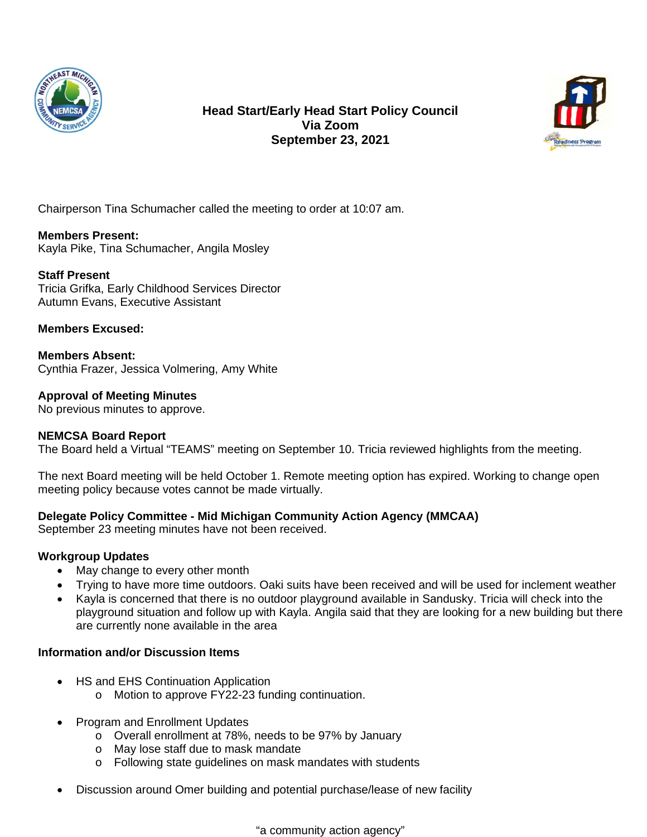

**Head Start/Early Head Start Policy Council Via Zoom September 23, 2021**



Chairperson Tina Schumacher called the meeting to order at 10:07 am.

#### **Members Present:**

Kayla Pike, Tina Schumacher, Angila Mosley

# **Staff Present**

Tricia Grifka, Early Childhood Services Director Autumn Evans, Executive Assistant

#### **Members Excused:**

**Members Absent:** Cynthia Frazer, Jessica Volmering, Amy White

**Approval of Meeting Minutes**

No previous minutes to approve.

# **NEMCSA Board Report**

The Board held a Virtual "TEAMS" meeting on September 10. Tricia reviewed highlights from the meeting.

The next Board meeting will be held October 1. Remote meeting option has expired. Working to change open meeting policy because votes cannot be made virtually.

# **Delegate Policy Committee - Mid Michigan Community Action Agency (MMCAA)**

September 23 meeting minutes have not been received.

# **Workgroup Updates**

- May change to every other month
- Trying to have more time outdoors. Oaki suits have been received and will be used for inclement weather
- Kayla is concerned that there is no outdoor playground available in Sandusky. Tricia will check into the playground situation and follow up with Kayla. Angila said that they are looking for a new building but there are currently none available in the area

# **Information and/or Discussion Items**

- HS and EHS Continuation Application
	- o Motion to approve FY22-23 funding continuation.
- Program and Enrollment Updates
	- o Overall enrollment at 78%, needs to be 97% by January
	- o May lose staff due to mask mandate
	- o Following state guidelines on mask mandates with students
- Discussion around Omer building and potential purchase/lease of new facility

"a community action agency"